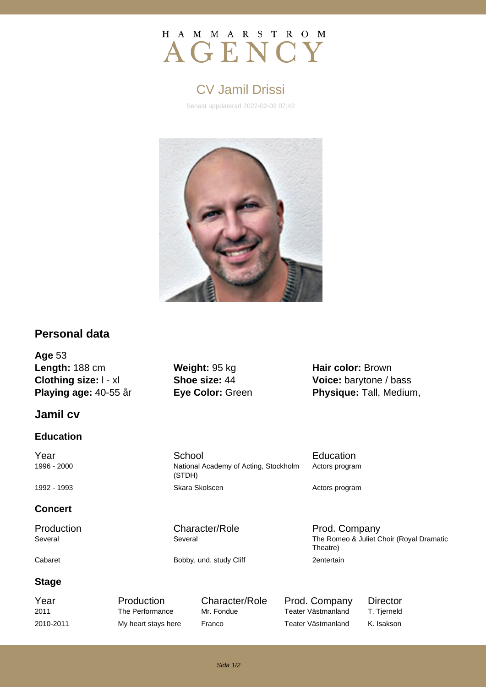

# CV Jamil Drissi

Senast uppdaterad 2022-02-02 07:42



### **Personal data**

**Age** 53 **Length:** 188 cm **Weight:** 95 kg **Hair color:** Brown **Clothing size:** l - xl **Shoe size:** 44 **Voice:** barytone / bass

### **Jamil cv**

### **Education**

1996 - 2000 National Academy of Acting, Stockholm

### **Concert**

**Stage**

(STDH)

**Playing age:** 40-55 år **Eye Color:** Green **Physique:** Tall, Medium,

**The School Education** School **Education** Actors program

1992 - 1993 **Skara Skolscen** Skara Skolscen **Actors program** 

Production Character/Role Prod. Company Several Several Several Several Several Several Several The Romeo & Juliet Choir (Royal Dramatic Theatre) Cabaret **Bobby, und. study Cliff** 2entertain

Year **Production** Character/Role Prod. Company Director 2011 The Performance Mr. Fondue Teater Västmanland T. Tjerneld 2010-2011 My heart stays here Franco Teater Västmanland K. Isakson